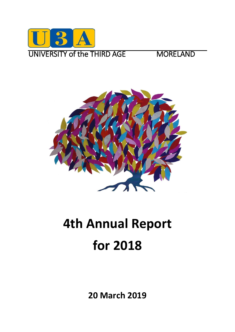



# **4th Annual Report for 2018**

**20 March 2019**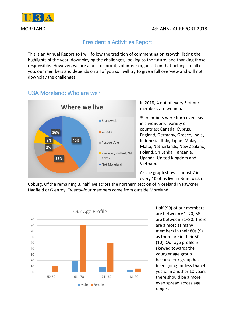



# President's Activities Report

This is an Annual Report so I will follow the tradition of commenting on growth, listing the highlights of the year, downplaying the challenges, looking to the future, and thanking those responsible. However, we are a not-for-profit, volunteer organisation that belongs to all of you, our members and depends on all of you so I will try to give a full overview and will not downplay the challenges.

# U3A Moreland: Who are we?



In 2018, 4 out of every 5 of our members are women**.**

39 members were born overseas in a wonderful variety of countries: Canada, Cyprus, England, Germany, Greece, India, Indonesia, Italy, Japan, Malaysia, Malta, Netherlands, New Zealand, Poland, Sri Lanka, Tanzania, Uganda, United Kingdom and Vietnam.

As the graph shows almost 7 in every 10 of us live in Brunswick or

Coburg. Of the remaining 3, half live across the northern section of Moreland in Fawkner, Hadfield or Glenroy. Twenty-four members come from outside Moreland.



Half (99) of our members are between 61–70; 58 are between 71–80. There are almost as many members in their 80s (9) as there are in their 50s (10). Our age profile is skewed towards the younger age group because our group has been going for less than 4 years. In another 10 years there should be a more even spread across age ranges.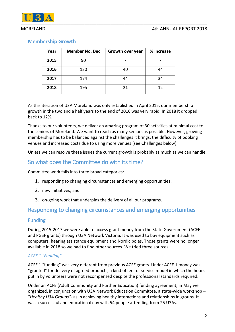#### MORELAND 4th ANNUAL REPORT 2018



### **Membership Growth**

| Year | <b>Member No. Dec</b> | Growth over year | % Increase |
|------|-----------------------|------------------|------------|
| 2015 | 90                    |                  |            |
| 2016 | 130                   | 40               | 44         |
| 2017 | 174                   | 44               | 34         |
| 2018 | 195                   | 21               | 12         |

As this iteration of U3A Moreland was only established in April 2015, our membership growth in the two and a half years to the end of 2016 was very rapid. In 2018 it dropped back to 12%.

Thanks to our volunteers, we deliver an amazing program of 30 activities at minimal cost to the seniors of Moreland. We want to reach as many seniors as possible. However, growing membership has to be balanced against the challenges it brings, the difficulty of booking venues and increased costs due to using more venues (see Challenges below).

Unless we can resolve these issues the current growth is probably as much as we can handle.

# So what does the Committee do with its time?

Committee work falls into three broad categories:

- 1. responding to changing circumstances and emerging opportunities;
- 2. new initiatives; and
- 3. on-going work that underpins the delivery of all our programs.

# Responding to changing circumstances and emerging opportunities

### Funding

During 2015-2017 we were able to access grant money from the State Government (ACFE and PGSF grants) through U3A Network Victoria. It was used to buy equipment such as computers, hearing assistance equipment and Nordic poles. Those grants were no longer available in 2018 so we had to find other sources. We tried three sources:

#### *ACFE 1 "Funding"*

ACFE 1 "funding" was very different from previous ACFE grants. Under ACFE 1 money was "granted" for delivery of agreed products, a kind of fee for service model in which the hours put in by volunteers were not recompensed despite the professional standards required.

Under an ACFE (Adult Community and Further Education) funding agreement, in May we organized, in conjunction with U3A Network Education Committee, a state-wide workshop – "*Healthy U3A Groups"-* as in achieving healthy interactions and relationships in groups. It was a successful and educational day with 54 people attending from 25 U3As.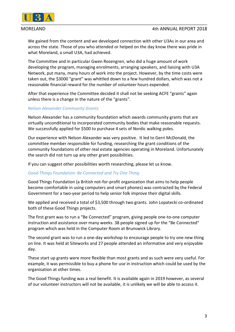

We gained from the content and we developed connection with other U3As in our area and across the state. Those of you who attended or helped on the day know there was pride in what Moreland, a small U3A, had achieved.

The Committee and in particular Gwen Rosengren, who did a huge amount of work developing the program, managing enrolments, arranging speakers, and liaising with U3A Network, put many, many hours of work into the project. However, by the time costs were taken out, the \$3000 "grant" was whittled down to a few hundred dollars, which was not a reasonable financial reward for the number of volunteer hours expended.

After that experience the Committee decided it shall not be seeking ACFE "grants" again unless there is a change in the nature of the "grants".

#### *Nelson Alexander Community Grants*

Nelson Alexander has a community foundation which awards community grants that are virtually unconditional to incorporated community bodies that make reasonable requests. We successfully applied for \$500 to purchase 4 sets of Nordic walking poles.

Our experience with Nelson Alexander was very positive. It led to Gerri McDonald, the committee member responsible for funding, researching the grant conditions of the community foundations of other real estate agencies operating in Moreland. Unfortunately the search did not turn up any other grant possibilities.

If you can suggest other possibilities worth researching, please let us know.

#### *Good Things Foundation: Be Connected and Try One Thing*

Good Things Foundation (a British not-for-profit organization that aims to help people become comfortable in using computers and smart phones) was contracted by the Federal Government for a two-year period to help senior folk improve their digital skills.

We applied and received a total of \$3,500 through two grants. John Lopatecki co-ordinated both of these Good Things projects.

The first grant was to run a "Be Connected" program, giving people one-to-one computer instruction and assistance over many weeks. 38 people signed up for the "Be Connected" program which was held in the Computer Room at Brunswick Library.

The second grant was to run a one-day workshop to encourage people to try one new thing on line. It was held at Siteworks and 27 people attended an informative and very enjoyable day.

These start up grants were more flexible than most grants and as such were very useful. For example, it was permissible to buy a phone for use in instruction which could be used by the organisation at other times.

The Good Things funding was a real benefit. It is available again in 2019 however, as several of our volunteer instructors will not be available, it is unlikely we will be able to access it.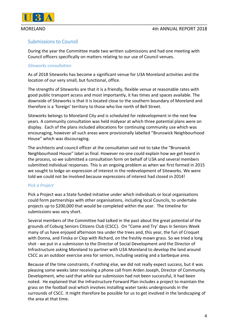

### Submissions to Council

During the year the Committee made two written submissions and had one meeting with Council officers specifically on matters relating to our use of Council venues.

#### *Siteworks consultation*

As of 2018 Siteworks has become a significant venue for U3A Moreland activities and the location of our very small, but functional, office.

The strengths of Siteworks are that it is a friendly, flexible venue at reasonable rates with good public transport access and most importantly, it has times and spaces available. The downside of Siteworks is that it is located close to the southern boundary of Moreland and therefore is a 'foreign' territory to those who live north of Bell Street.

Siteworks belongs to Moreland City and is scheduled for redevelopment in the next few years. A community consultation was held midyear at which three potential plans were on display. Each of the plans included allocations for continuing community use which was encouraging, however all such areas were provisionally labelled "Brunswick Neighbourhood House" which was discouraging.

The architects and council officer at the consultation said not to take the "Brunswick Neighbourhood House" label as final. However no-one could explain how we get heard in the process, so we submitted a consultation form on behalf of U3A and several members submitted individual responses. This is an ongoing problem as when we first formed in 2015 we sought to lodge an expression of interest in the redevelopment of Siteworks. We were told we could not be involved because expressions of interest had closed in 2014!

#### *Pick a Project*

Pick a Project was a State funded initiative under which individuals or local organisations could form partnerships with other organisations, including local Councils, to undertake projects up to \$200,000 that would be completed within the year. The timeline for submissions was very short.

Several members of the Committee had talked in the past about the great potential of the grounds of Coburg Seniors Citizens Club (CSCC). On "Come and Try' days in Seniors Week many of us have enjoyed afternoon tea under the trees and, this year, the fun of Croquet with Donna, and Finska or Clop with Richard, on the freshly mown grass. So we tried a long shot - we put in a submission to the Director of Social Development and the Director of Infrastructure asking Moreland to partner with U3A Moreland to develop the land around CSCC as an outdoor exercise area for seniors, including seating and a barbeque area.

Because of the time constraints, if nothing else, we did not really expect success, but it was pleasing some weeks later receiving a phone call from Arden Joseph, Director of Community Development, who said that while our submission had not been successful, it had been noted. He explained that the Infrastructure Forward Plan includes a project to maintain the grass on the football oval which involves installing water tanks undergrounds in the surrounds of CSCC. It might therefore be possible for us to get involved in the landscaping of the area at that time.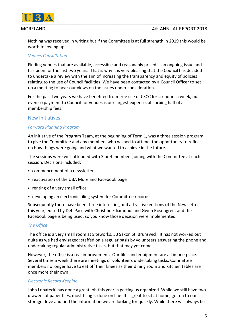

Nothing was received in writing but if the Committee is at full strength in 2019 this would be worth following up.

#### *Venues Consultation*

Finding venues that are available, accessible and reasonably priced is an ongoing issue and has been for the last two years. That is why it is very pleasing that the Council has decided to undertake a review with the aim of increasing the transparency and equity of policies relating to the use of Council facilities. We have been contacted by a Council Officer to set up a meeting to hear our views on the issues under consideration.

For the past two years we have benefited from free use of CSCC for six hours a week, but even so payment to Council for venues is our largest expense, absorbing half of all membership fees.

### New Initiatives

#### *Forward Planning Program*

An initiative of the Program Team, at the beginning of Term 1, was a three session program to give the Committee and any members who wished to attend, the opportunity to reflect on how things were going and what we wanted to achieve in the future.

The sessions were well attended with 3 or 4 members joining with the Committee at each session. Decisions included:

- commencement of a newsletter
- reactivation of the U3A Moreland Facebook page
- renting of a very small office
- developing an electronic filing system for Committee records.

Subsequently there have been three interesting and attractive editions of the Newsletter this year, edited by Deb Pace with Christine Filiamundi and Gwen Rosengren, and the Facebook page is being used, so you know those decision were implemented.

### *The Office*

The office is a very small room at Siteworks, 33 Saxon St, Brunswick. It has not worked out quite as we had envisaged: staffed on a regular basis by volunteers answering the phone and undertaking regular administrative tasks, but that may yet come.

However, the office is a real improvement. Our files and equipment are all in one place. Several times a week there are meetings or volunteers undertaking tasks. Committee members no longer have to eat off their knees as their dining room and kitchen tables are once more their own!

#### *Electronic Record Keeping*

John Lopatecki has done a great job this year in getting us organized. While we still have two drawers of paper files, most filing is done on line. It is great to sit at home, get on to our storage drive and find the information we are looking for quickly. While there will always be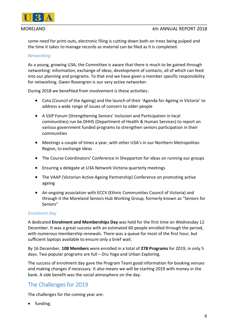

some need for print-outs, electronic filing is cutting down both on trees being pulped and the time it takes to manage records as material can be filed as it is completed.

#### *Networking*

As a young, growing U3A, the Committee is aware that there is much to be gained through networking: information, exchange of ideas, development of contacts, all of which can feed into our planning and programs. To that end we have given a member specific responsibility for networking. Gwen Rosengren is our very active networker.

During 2018 we benefited from involvement is these activities:

- Cota (Council of the Ageing) and the launch of their 'Agenda for Ageing in Victoria' to address a wide range of issues of concern to older people
- A SSIP Forum (Strengthening Seniors' Inclusion and Participation in local communities) run be DHHS (Department of Health & Human Services) to report on various government funded programs to strengthen seniors participation in their communities
- Meetings a couple of times a year, with other U3A's in our Northern Metropolitan Region, to exchange ideas
- The Course Coordinators' Conference in Shepparton for ideas on running our groups
- Ensuring a delegate at U3A Network Victoria quarterly meetings
- The VAAP (Victorian Active Ageing Partnership) Conference on promoting active ageing
- An ongoing association with ECCV (Ethnic Communities Council of Victoria) and through it the Moreland Seniors Hub Working Group, formerly known as "Seniors for Seniors"

#### *Enrolment Day*

A dedicated **Enrolment and Memberships Day** was held for the first time on Wednesday 12 December. It was a great success with an estimated 60 people enrolled through the period, with numerous membership renewals. There was a queue for most of the first hour, but sufficient laptops available to ensure only a brief wait.

By 16 December, **108 Members** were enrolled in a total of **278 Programs** for 2019, in only 5 days. Two popular programs are full – Dru Yoga and Urban Exploring.

The success of enrolment day gave the Program Team good information for booking venues and making changes if necessary. It also means we will be starting 2019 with money in the bank. A side benefit was the social atmosphere on the day.

# The Challenges for 2019

The challenges for the coming year are:

• funding;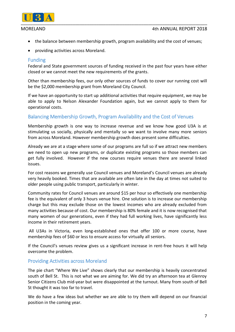

- the balance between membership growth, program availability and the cost of venues;
- providing activities across Moreland.

#### Funding

Federal and State government sources of funding received in the past four years have either closed or we cannot meet the new requirements of the grants.

Other than membership fees, our only other sources of funds to cover our running cost will be the \$2,000 membership grant from Moreland City Council.

If we have an opportunity to start up additional activities that require equipment, we may be able to apply to Nelson Alexander Foundation again, but we cannot apply to them for operational costs.

### Balancing Membership Growth, Program Availability and the Cost of Venues

Membership growth is one way to increase revenue and we know how good U3A is at stimulating us socially, physically and mentally so we want to involve many more seniors from across Moreland. However membership growth does present some difficulties.

Already we are at a stage where some of our programs are full so if we attract new members we need to open up new programs, or duplicate existing programs so those members can get fully involved. However if the new courses require venues there are several linked issues.

For cost reasons we generally use Council venues and Moreland's Council venues are already very heavily booked. Times that are available are often late in the day at times not suited to older people using public transport, particularly in winter.

Community rates for Council venues are around \$15 per hour so effectively one membership fee is the equivalent of only 3 hours venue hire. One solution is to increase our membership charge but this may exclude those on the lowest incomes who are already excluded from many activities because of cost. Our membership is 80% female and it is now recognised that many women of our generations, even if they had full working lives, have significantly less income in their retirement years.

All U3As in Victoria, even long-established ones that offer 100 or more course, have membership fees of \$60 or less to ensure access for virtually all seniors.

If the Council's venues review gives us a significant increase in rent-free hours it will help overcome the problem.

#### Providing Activities across Moreland

The pie chart "Where We Live" shows clearly that our membership is heavily concentrated south of Bell St. This is not what we are aiming for. We did try an afternoon tea at Glenroy Senior Citizens Club mid-year but were disappointed at the turnout. Many from south of Bell St thought it was too far to travel.

We do have a few ideas but whether we are able to try them will depend on our financial position in the coming year.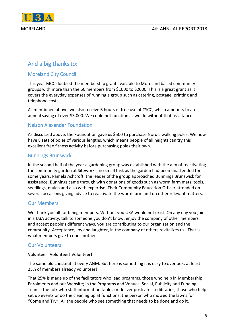

# And a big thanks to:

### Moreland City Council

This year MCC doubled the membership grant available to Moreland based community groups with more than the 60 members from \$1000 to \$2000. This is a great grant as it covers the everyday expenses of running a group such as catering, postage, printing and telephone costs.

As mentioned above, we also receive 6 hours of free use of CSCC, which amounts to an annual saving of over \$3,000. We could not function as we do without that assistance.

### Nelson Alexander Foundation

As discussed above, the Foundation gave us \$500 to purchase Nordic walking poles. We now have 8 sets of poles of various lengths, which means people of all heights can try this excellent free fitness activity before purchasing poles their own.

### Bunnings Brunswick

In the second half of the year a gardening group was established with the aim of reactivating the community garden at Siteworks, no small task as the garden had been unattended for some years. Pamela Ashcroft, the leader of the group approached Bunnings Brunswick for assistance. Bunnings came through with donations of goods such as worm farm mats, tools, seedlings, mulch and also with expertise. Their Community Education Officer attended on several occasions giving advice to reactivate the worm farm and on other relevant matters.

### Our Members

We thank you all for being members. Without you U3A would not exist. On any day you join in a U3A activity, talk to someone you don't know, enjoy the company of other members and accept people's different ways, you are contributing to our organization and the community. Acceptance, joy and laughter, in the company of others revitalizes us. That is what members give to one another

### Our Volunteers

Volunteer! Volunteer! Volunteer!

The same old chestnut at every AGM. But here is something it is easy to overlook: at least 25% of members already volunteer!

That 25% is made up of the facilitators who lead programs, those who help in Membership, Enrolments and our Website; in the Programs and Venues, Social, Publicity and Funding Teams; the folk who staff information tables or deliver postcards to libraries; those who help set up events or do the cleaning up at functions; the person who mowed the lawns for "Come and Try". All the people who see something that needs to be done and do it.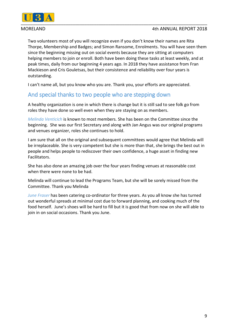

Two volunteers most of you will recognize even if you don't know their names are Rita Thorpe, Membership and Badges; and Simon Ransome, Enrolments. You will have seen them since the beginning missing out on social events because they are sitting at computers helping members to join or enroll. Both have been doing these tasks at least weekly, and at peak times, daily from our beginning 4 years ago. In 2018 they have assistance from Fran Mackieson and Cris Gouletsas, but their consistence and reliability over four years is outstanding.

I can't name all, but you know who you are. Thank you, your efforts are appreciated.

# And special thanks to two people who are stepping down

A healthy organization is one in which there is change but it is still sad to see folk go from roles they have done so well even when they are staying on as members.

*Melinda Venticich* is known to most members*.* She has been on the Committee since the beginning. She was our first Secretary and along with Jan Angus was our original programs and venues organizer, roles she continues to hold.

I am sure that all on the original and subsequent committees would agree that Melinda will be irreplaceable. She is very competent but she is more than that, she brings the best out in people and helps people to rediscover their own confidence, a huge asset in finding new Facilitators.

She has also done an amazing job over the four years finding venues at reasonable cost when there were none to be had.

Melinda will continue to lead the Programs Team, but she will be sorely missed from the Committee. Thank you Melinda

*June Fraser* has been catering co-ordinator for three years. As you all know she has turned out wonderful spreads at minimal cost due to forward planning, and cooking much of the food herself. June's shoes will be hard to fill but it is good that from now on she will able to join in on social occasions. Thank you June.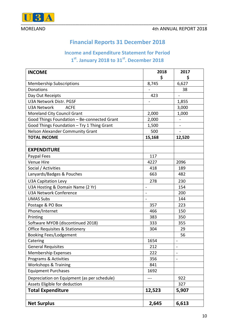

# **Financial Reports 31 December 2018**

# **Income and Expenditure Statement for Period 1 st. January 2018 to 31st. December 2018**

| <b>INCOME</b>                               | 2018           | 2017                     |
|---------------------------------------------|----------------|--------------------------|
|                                             | \$             | \$                       |
| <b>Membership Subscriptions</b>             | 8,745          | 6,627                    |
| Donations                                   |                | 38                       |
| Day Out Receipts                            | 423            |                          |
| U3A Network Distr. PGSF                     |                | 1,855                    |
| <b>U3A Network</b><br><b>ACFE</b>           |                | 3,000                    |
| Moreland City Council Grant                 | 2,000          | 1,000                    |
| Good Things Foundation - Be-connected Grant | 2,000          |                          |
| Good Things Foundation - Try 1 Thing Grant  | 1,500          | $\overline{\phantom{0}}$ |
| <b>Nelson Alexander Community Grant</b>     | 500            | $\blacksquare$           |
| <b>TOTAL INCOME</b>                         | 15,168         | 12,520                   |
|                                             |                |                          |
| <b>EXPENDITURE</b>                          |                |                          |
| Paypal Fees                                 | 117            |                          |
| Venue Hire                                  | 4227           | 2096                     |
| Social / Activities                         | 418            | 189                      |
| Lanyards/Badges & Pouches                   | 663            | 482                      |
| <b>U3A Capitation Levy</b>                  | 278            | 230                      |
| U3A Hosting & Domain Name (2 Yr)            | $\overline{a}$ | 154                      |
| <b>U3A Network Conference</b>               | $\overline{a}$ | 200                      |
| <b>UMAS Subs</b>                            |                | 144                      |
| Postage & PO Box                            | 357            | 223                      |
| Phone/Internet                              | 466            | 150                      |
| Printing                                    | 383            | 350                      |
| Software MYOB (discontinued 2018)           | 333            | 355                      |
| <b>Office Requisites &amp; Stationery</b>   | 304            | 29                       |
| <b>Booking Fees/Lodgement</b>               |                | 56                       |
| Catering                                    | 1654           |                          |
| <b>General Requisites</b>                   | 212            | ÷                        |
| <b>Membership Expenses</b>                  | 222            |                          |
| Programs & Activities                       | 356            |                          |
| <b>Workshops &amp; Training</b>             | 841            |                          |
| <b>Equipment Purchases</b>                  | 1692           |                          |
| Depreciation on Equipment (as per schedule) |                | 922                      |
| Assets Eligible for deduction               |                | 327                      |
| <b>Total Expenditure</b>                    | 12,523         | 5,907                    |
|                                             |                |                          |
| <b>Net Surplus</b>                          | 2,645          | 6,613                    |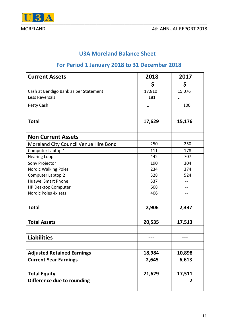

# **U3A Moreland Balance Sheet**

# **For Period 1 January 2018 to 31 December 2018**

| <b>Current Assets</b>                 | 2018   | 2017           |
|---------------------------------------|--------|----------------|
|                                       | \$     | \$             |
| Cash at Bendigo Bank as per Statement | 17,810 | 15,076         |
| Less Reversals                        | 181    |                |
| Petty Cash                            |        | 100            |
|                                       |        |                |
| <b>Total</b>                          | 17,629 | 15,176         |
|                                       |        |                |
| <b>Non Current Assets</b>             |        |                |
| Moreland City Council Venue Hire Bond | 250    | 250            |
| Computer Laptop 1                     | 111    | 178            |
| <b>Hearing Loop</b>                   | 442    | 707            |
| Sony Projector                        | 190    | 304            |
| Nordic Walking Poles                  | 234    | 374            |
| Computer Laptop 2                     | 328    | 524            |
| <b>Huawei Smart Phone</b>             | 337    | --             |
| <b>HP Desktop Computer</b>            | 608    | --             |
| Nordic Poles 4x sets                  | 406    | --             |
|                                       |        |                |
| <b>Total</b>                          | 2,906  | 2,337          |
|                                       |        |                |
| <b>Total Assets</b>                   | 20,535 | 17,513         |
|                                       |        |                |
| <b>Liabilities</b>                    | ---    | ---            |
| <b>Adjusted Retained Earnings</b>     | 18,984 | 10,898         |
| <b>Current Year Earnings</b>          | 2,645  | 6,613          |
|                                       |        |                |
| <b>Total Equity</b>                   | 21,629 | 17,511         |
| Difference due to rounding            |        | $\overline{2}$ |
|                                       |        |                |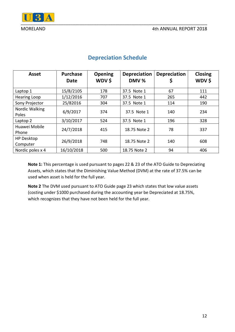

| <b>Asset</b>                  | <b>Purchase</b><br><b>Date</b> | <b>Opening</b><br>WDV\$ | <b>Depreciation</b><br>DMV % | <b>Depreciation</b><br>Ş | <b>Closing</b><br>WDV\$ |
|-------------------------------|--------------------------------|-------------------------|------------------------------|--------------------------|-------------------------|
| Laptop 1                      | 15/8/2105                      | 178                     | 37.5 Note 1                  | 67                       | 111                     |
| <b>Hearing Loop</b>           | 1/12/2016                      | 707                     | 37.5 Note 1                  | 265                      | 442                     |
| Sony Projector                | 25/82016                       | 304                     | 37.5 Note 1                  | 114                      | 190                     |
| Nordic Walking<br>Poles       | 6/9/2017                       | 374                     | 37.5 Note 1                  | 140                      | 234                     |
| Laptop 2                      | 3/10/2017                      | 524                     | 37.5 Note 1                  | 196                      | 328                     |
| Huawei Mobile<br>Phone        | 24/7/2018                      | 415                     | 18.75 Note 2                 | 78                       | 337                     |
| <b>HP Desktop</b><br>Computer | 26/9/2018                      | 748                     | 18.75 Note 2                 | 140                      | 608                     |
| Nordic poles x 4              | 16/10/2018                     | 500                     | 18.75 Note 2                 | 94                       | 406                     |

# **Depreciation Schedule**

**Note 1:** This percentage is used pursuant to pages 22 & 23 of the ATO Guide to Depreciating Assets, which states that the Diminishing Value Method (DVM) at the rate of 37.5% can be used when asset is held for the full year.

**Note 2** The DVM used pursuant to ATO Guide page 23 which states that low value assets (costing under \$1000 purchased during the accounting year be Depreciated at 18.75%, which recognizes that they have not been held for the full year.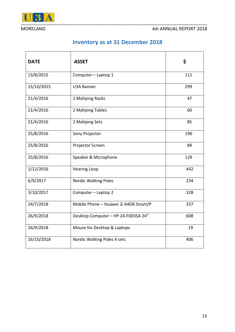

# **Inventory as at 31 December 2018**

| <b>DATE</b> | <b>ASSET</b>                          | \$  |
|-------------|---------------------------------------|-----|
| 13/8/2015   | Computer - Laptop 1                   | 111 |
| 15/10/2015  | <b>U3A Banner</b>                     | 299 |
| 21/4/2016   | 2 Mahjong Racks                       | 47  |
| 21/4/2016   | 2 Mahjong Tables                      | 60  |
| 21/4/2016   | 2 Mahjong Sets                        | 85  |
| 25/8/2016   | Sony Projector                        | 190 |
| 25/8/2016   | Projector Screen                      | 84  |
| 25/8/2016   | Speaker & Microphone                  | 129 |
| 1/12/2016   | <b>Hearing Loop</b>                   | 442 |
| 6/9/2017    | <b>Nordic Walking Poles</b>           | 234 |
| 3/10/2017   | Computer - Laptop 2                   | 328 |
| 24/7/2018   | Mobile Phone - Huawei 2i 64GB Smart/P | 337 |
| 26/9/2018   | Desktop Computer - HP 24-F0035A 24"   | 608 |
| 26/9/2018   | Mouse for Desktop & Laptops           | 19  |
| 16/10/2018  | Nordic Walking Poles 4 sets           | 406 |